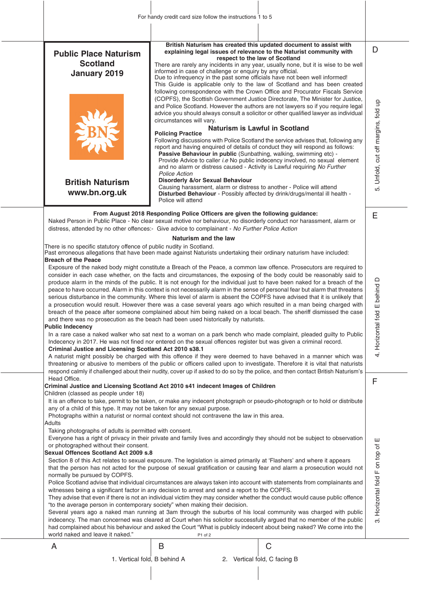